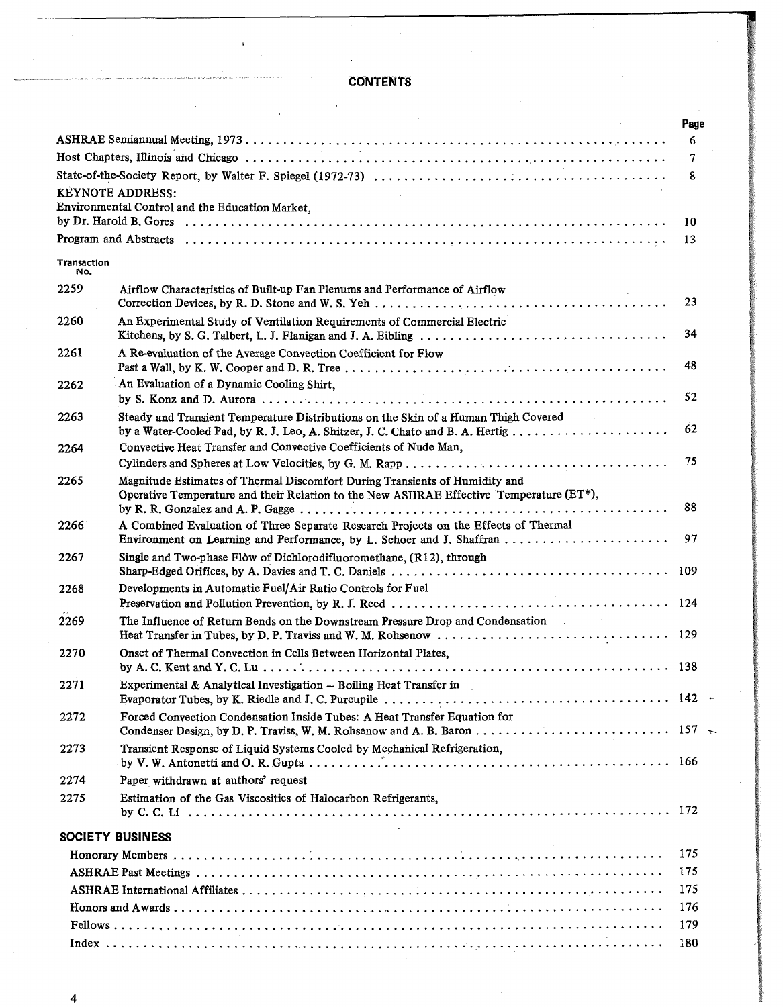## **CONTENTS**

~-\_.\_-----------------------------........

|             | $\sim 10^{-11}$                                                                                                                                                        | Page<br>6 |
|-------------|------------------------------------------------------------------------------------------------------------------------------------------------------------------------|-----------|
|             |                                                                                                                                                                        | 7         |
|             |                                                                                                                                                                        | 8         |
|             | <b>KEYNOTE ADDRESS:</b>                                                                                                                                                |           |
|             | Environmental Control and the Education Market,                                                                                                                        | 10        |
|             |                                                                                                                                                                        | 13        |
| Transaction |                                                                                                                                                                        |           |
| No.<br>2259 | Airflow Characteristics of Built-up Fan Plenums and Performance of Airflow                                                                                             |           |
|             |                                                                                                                                                                        | 23        |
| 2260        | An Experimental Study of Ventilation Requirements of Commercial Electric                                                                                               | 34        |
| 2261        | A Re-evaluation of the Average Convection Coefficient for Flow                                                                                                         |           |
|             |                                                                                                                                                                        | 48        |
| 2262        | An Evaluation of a Dynamic Cooling Shirt.                                                                                                                              |           |
|             |                                                                                                                                                                        | 52        |
| 2263        | Steady and Transient Temperature Distributions on the Skin of a Human Thigh Covered                                                                                    | 62        |
| 2264        | Convective Heat Transfer and Convective Coefficients of Nude Man,                                                                                                      |           |
|             |                                                                                                                                                                        | 75        |
| 2265        | Magnitude Estimates of Thermal Discomfort During Transients of Humidity and<br>Operative Temperature and their Relation to the New ASHRAE Effective Temperature (ET*), | 88        |
| 2266        | A Combined Evaluation of Three Separate Research Projects on the Effects of Thermal                                                                                    |           |
|             | Environment on Learning and Performance, by L. Schoer and J. Shaffran                                                                                                  | 97        |
| 2267        | Single and Two-phase Flow of Dichlorodifluoromethane, (R12), through                                                                                                   | 109       |
| 2268        | Developments in Automatic Fuel/Air Ratio Controls for Fuel                                                                                                             |           |
|             |                                                                                                                                                                        |           |
| 2269        | The Influence of Return Bends on the Downstream Pressure Drop and Condensation<br><b>Contractor</b>                                                                    | 129       |
| 2270        | Onset of Thermal Convection in Cells Between Horizontal Plates,                                                                                                        |           |
|             |                                                                                                                                                                        |           |
| 2271        | Experimental & Analytical Investigation - Boiling Heat Transfer in                                                                                                     |           |
|             |                                                                                                                                                                        |           |
| 2272        | Forced Convection Condensation Inside Tubes: A Heat Transfer Equation for                                                                                              |           |
| 2273        | Transient Response of Liquid Systems Cooled by Mechanical Refrigeration,                                                                                               |           |
| 2274        | Paper withdrawn at authors' request                                                                                                                                    |           |
| 2275        | Estimation of the Gas Viscosities of Halocarbon Refrigerants,                                                                                                          |           |
|             |                                                                                                                                                                        |           |
|             | <b>SOCIETY BUSINESS</b>                                                                                                                                                | 175       |
|             |                                                                                                                                                                        | 175       |
|             |                                                                                                                                                                        | 175       |
|             |                                                                                                                                                                        | 176       |
|             |                                                                                                                                                                        |           |
|             |                                                                                                                                                                        | 179       |
|             |                                                                                                                                                                        | 180       |